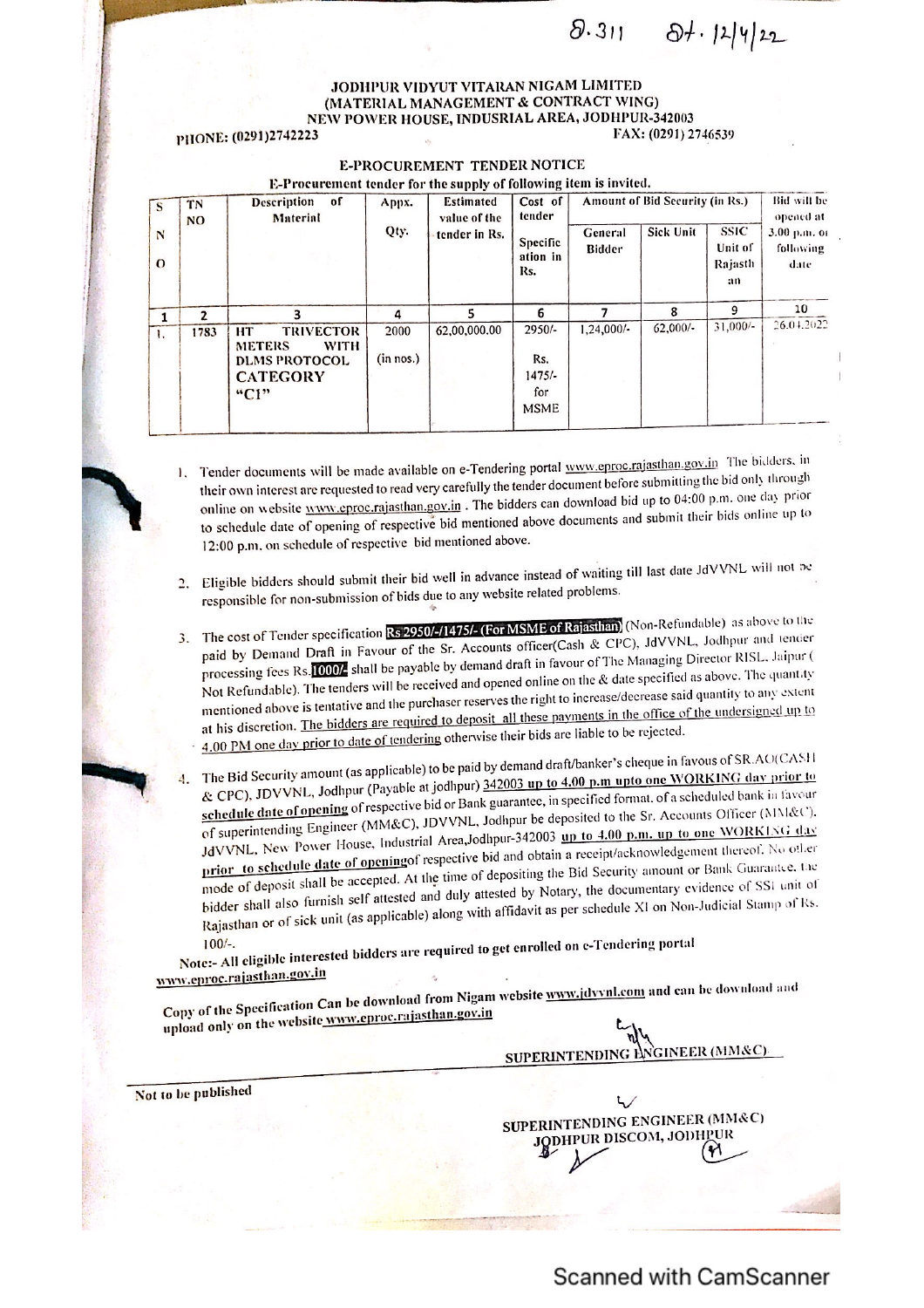$8.311 84.12412$ 

## JODHPUR VIDYUT VITARAN NIGAM LIMITED<br>(MATERIAL MANAGEMENT & CONTRACT WING) (MEW POWER HOUSE, INDUSRIAL AREA, JODHPUR-342003<br>23 FAX: (0291) 2746539

## PHONE: (0291)2742223

| S<br>N<br>$\Omega$ | TN<br><b>NO</b> | <b>Description</b><br>of<br>Material                                                                             | Appx.<br>Qty.     | <b>Estimated</b><br>value of the<br>tender in Rs. | Cost of<br>tender<br><b>Specific</b><br>ation in<br>Rs. | General<br>Bidder | Amount of Bid Security (in Rs.)<br><b>Sick Unit</b> | <b>SSIC</b><br>Unit of<br>Rajasth<br>an | <b>Bid will be</b><br>opened at<br>3.00 p.m. or<br>following<br>date |
|--------------------|-----------------|------------------------------------------------------------------------------------------------------------------|-------------------|---------------------------------------------------|---------------------------------------------------------|-------------------|-----------------------------------------------------|-----------------------------------------|----------------------------------------------------------------------|
|                    | $\overline{ }$  | 3                                                                                                                | 4                 |                                                   | 6                                                       |                   | 8                                                   | 9                                       | 10                                                                   |
| 1.                 | 1783            | <b>TRIVECTOR</b><br><b>HT</b><br><b>METERS</b><br><b>WITH</b><br><b>DLMS PROTOCOL</b><br><b>CATEGORY</b><br>"C1" | 2000<br>(in nos.) | 62,00,000.00                                      | 2950/-<br>Rs.<br>$1475/-$<br>for<br><b>MSME</b>         | 1,24,000/-        | $62,000/-$                                          | $31,000/-$                              | 26.04.2022                                                           |

E-PROCUREMENT TENDER NOTICE

- able on e-Tendering portal www.eproc.rajasthan.gov.in The bidders. in their own interest are requested to read very carefully the tender document before submitting the bid only through<br>their own interest are requested to read very carefully the tender document before submitting the bid only online on website www.eproc.rajasthan.gov.in. The bidders can download bid up to 04:00 p.m. one day prior online up to to schedule date of opening of respective bid mentioned above documents and submit their bids online up to 12:00 p.m. on schedule of respective bid mentioned above.
- 2. Eligible bidders should submit their bid well in advance instead of waiting till last date JdVVNL will not be responsible for non-submission of bids due to any website related problems.
- 3. The cost of Tender specification Rs 2950/-/1475/- (For MSME of Rajasthan) (Non-Refundable) as above to the<br>Second tender and tender specification Rs 2950/-/1475/- (For MSME of FactCash & CPC). IdVVNL, Jodhpur and tender paid by Demand Draft in Favour of the Sr. Accounts officer(Cash & CPC), JdVVNL, Jodhpur and tender processing fees its. **Note that the properties**<br>Not Refundable). The tenders will be received and opened online on the & date specified as above. The quantity processing fees Rs. 000/ shall be payable by demand draft in favour of The Managing Director RISL. Jaipur ( Not Refundable). The tenders will be received merges the right to increase/decrease said quantity to any extent<br>mentioned above is tentative and the purchaser reserves the right to increase/decrease said quantity to any ex at his discretion. The bidders are required to deposit all these payments in the office of the undersigned up to 4.00 PM one day prior to date of tendering otherwise their bids are liable to be rejected.
- The Bid Security amount (as applicable) to be paid by demand draft/banker's cheque in favous of SR.AO(CASH<br>The Bid Security amount (as applicable) to be paid by demand draft/banker's cheque in favous of SR.AO(CASH CPC), JDVVNL, Jodhpur (Payable & CPC), JDVVNL, Jodhpur (Payable at jodhpur) 342003 up to 4.00 p.m upto one WORKING day prior to & CPC), JDVVNL, Jounput (Fayable af year of Bank guarantee, in specified format. of a scheduled bank in favour<br>schedule date of opening of respective bid or Bank guarantee, in specified format. Of a scheduled bank in favou of superintending Engineer (Mivice), 3DV 112, Searly 10. 100 up to 4.00 p.m. up to one WORKING day<br>JdVVNL, New Power House, Industrial Area,Jodhpur-342003 up to 4.00 p.m. up to one WORKING day of superintending Engineer (MM&C), JDVVNL, Jodhpur be deposited to the Sr. Accounts Officer (MM&C), to the Sr. Accounts Officer (AIMK&U). prior to schedule date of openingof respective bid and obtain a receipt/acknowledgement thereof. No other prior to schedule date of opening respective or the final security amount or Bank Guarantee. Lie<br>mode of deposit shall be accepted. At the time of depositing the Bid Security amount or Bank Guarantee. Lie mode of deposit shall be accepted. At the animal part of Notary, the documentary evidence of SSI unit of bidder shall also furnish self attested and duly attested by Notary, the documentary evidence of SSI unit of bidder shall also furnish self attested and dary allowed by the schedule XI on Non-Judicial Stamp of Rs.<br>Rajasthan or of sick unit (as applicable) along with affidavit as per schedule XI on Non-Judicial Stamp of Rs.

 $100/-$ . 100/-.<br>Note:- All eligible interested bidders are required to get enrolled on e-Tendering portal

Copy of the Specification Can be down from Nigam website <u>www.jdvvnl.com</u> and can be download and upload only on the website www.cproc.rajasthan.gov.in

Not to be published

roc.rajasthan.gov.in

SUPERINTENDING ENGINEER (MM&C)

SUPERINTENDING ENGINEER (MM&C) DHPUR DISCOM, JOIH